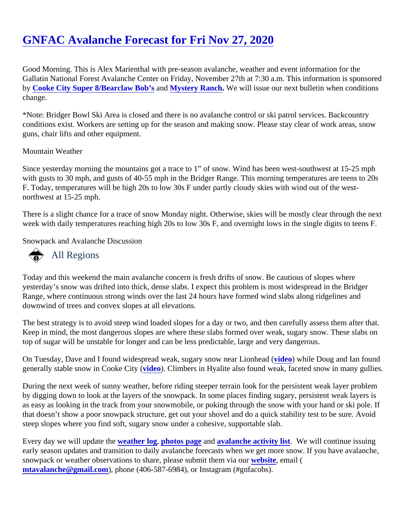# [GNFAC Avalanche Forecast for Fri Nov 27, 202](https://www.mtavalanche.com/forecast/20/11/27)0

Good Morning. This is Alex Marienthal with pre-season avalanche, weather and event information for the Gallatin National Forest Avalanche Center on Friday, November 27th at 7:30 a.m. This information is sponsor by [Cooke City Super 8/Bearclaw Bob'](http://bearclawsalesandservice.com/)s and Mystery Ranch. We will issue our next bulletin when conditions change.

\*Note: Bridger Bowl Ski Area is closed and there is no avalanche control or ski patrol services. Backcountry conditions exist. Workers are setting up for the season and making snow. Please stay clear of work areas, snow guns, chair lifts and other equipment.

#### Mountain Weather

Since yesterday morning the mountains got a trace to 1" of snow. Wind has been west-southwest at 15-25 m with gusts to 30 mph, and gusts of 40-55 mph in the Bridger Range. This morning temperatures are teens to 20 F. Today, temperatures will be high 20s to low 30s F under partly cloudy skies with wind out of the westnorthwest at 15-25 mph.

There is a slight chance for a trace of snow Monday night. Otherwise, skies will be mostly clear through the n week with daily temperatures reaching high 20s to low 30s F, and overnight lows in the single digits to teens I

Snowpack and Avalanche Discussion

## All Regions

Today and this weekend the main avalanche concern is fresh drifts of snow. Be cautious of slopes where yesterday's snow was drifted into thick, dense slabs. I expect this problem is most widespread in the Bridger Range, where continuous strong winds over the last 24 hours have formed wind slabs along ridgelines and downwind of trees and convex slopes at all elevations.

The best strategy is to avoid steep wind loaded slopes for a day or two, and then carefully assess them after Keep in mind, the most dangerous slopes are where these slabs formed over weak, sugary snow. These slab top of sugar will be unstable for longer and can be less predictable, large and very dangerous.

On Tuesday, Dave and I found widespread weak, sugary snow near Liomidead while Doug and Ian found generally stable snow in Cooke City (eo). Climbers in Hyalite also found weak, faceted snow in many gullies.

During the next week of sunny weather, before riding steeper terrain look for the persistent weak layer proble by digging down to look at the layers of the snowpack. In some places finding sugary, persistent weak layers as easy as looking in the track from your snowmobile, or poking through the snow with your hand or ski pole. that doesn't show a poor snowpack structure, get out your shovel and do a quick stability test to be sure. Avo steep slopes where you find soft, sugary snow under a cohesive, supportable slab.

Every day we will update the eather log [photos page](https://www.mtavalanche.com/photos) an[d avalanche activity list.](https://www.mtavalanche.com/avalanche-activity) We will continue issuing early season updates and transition to daily avalanche forecasts when we get more snow. If you have avalan snowpack or weather observations to share, please submit them wiaboute email ( [mtavalanche@gmail.com](mailto:mtavalanche@gmail.com)), phone (406-587-6984), or Instagram (#gnfacobs).